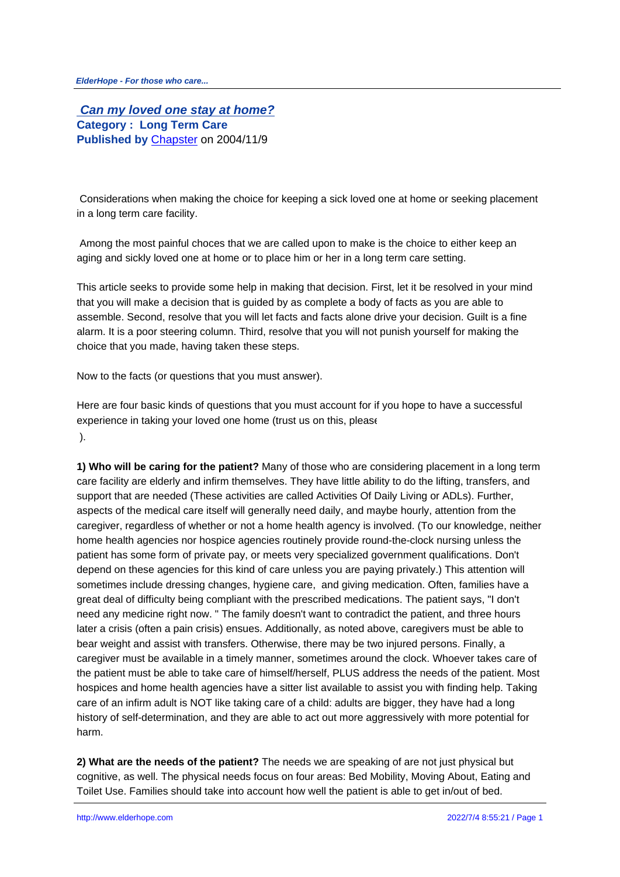**Can my loved one stay at home? Category : Long Term Care Published by** Chapster on 2004/11/9

 Considerations [when mak](http://www.elderhope.com/userinfo.php?uid=1)ing the choice for keeping a sick loved one at home or seeking placement in a long term care facility.

 Among the most painful choces that we are called upon to make is the choice to either keep an aging and sickly loved one at home or to place him or her in a long term care setting.

This article seeks to provide some help in making that decision. First, let it be resolved in your mind that you will make a decision that is guided by as complete a body of facts as you are able to assemble. Second, resolve that you will let facts and facts alone drive your decision. Guilt is a fine alarm. It is a poor steering column. Third, resolve that you will not punish yourself for making the choice that you made, having taken these steps.

Now to the facts (or questions that you must answer).

Here are four basic kinds of questions that you must account for if you hope to have a successful experience in taking your loved one home (trust us on this, please ).

**1) Who will be caring for the patient?** Many of those who are considering placement in a long term care facility are elderly and infirm themselves. They have little ability to do the lifting, transfers, and support that are needed (These activities are called Activities Of Daily Living or ADLs). Further, aspects of the medical care itself will generally need daily, and maybe hourly, attention from the caregiver, regardless of whether or not a home health agency is involved. (To our knowledge, neither home health agencies nor hospice agencies routinely provide round-the-clock nursing unless the patient has some form of private pay, or meets very specialized government qualifications. Don't depend on these agencies for this kind of care unless you are paying privately.) This attention will sometimes include dressing changes, hygiene care, and giving medication. Often, families have a great deal of difficulty being compliant with the prescribed medications. The patient says, "I don't need any medicine right now. " The family doesn't want to contradict the patient, and three hours later a crisis (often a pain crisis) ensues. Additionally, as noted above, caregivers must be able to bear weight and assist with transfers. Otherwise, there may be two injured persons. Finally, a caregiver must be available in a timely manner, sometimes around the clock. Whoever takes care of the patient must be able to take care of himself/herself, PLUS address the needs of the patient. Most hospices and home health agencies have a sitter list available to assist you with finding help. Taking care of an infirm adult is NOT like taking care of a child: adults are bigger, they have had a long history of self-determination, and they are able to act out more aggressively with more potential for harm.

**2) What are the needs of the patient?** The needs we are speaking of are not just physical but cognitive, as well. The physical needs focus on four areas: Bed Mobility, Moving About, Eating and Toilet Use. Families should take into account how well the patient is able to get in/out of bed.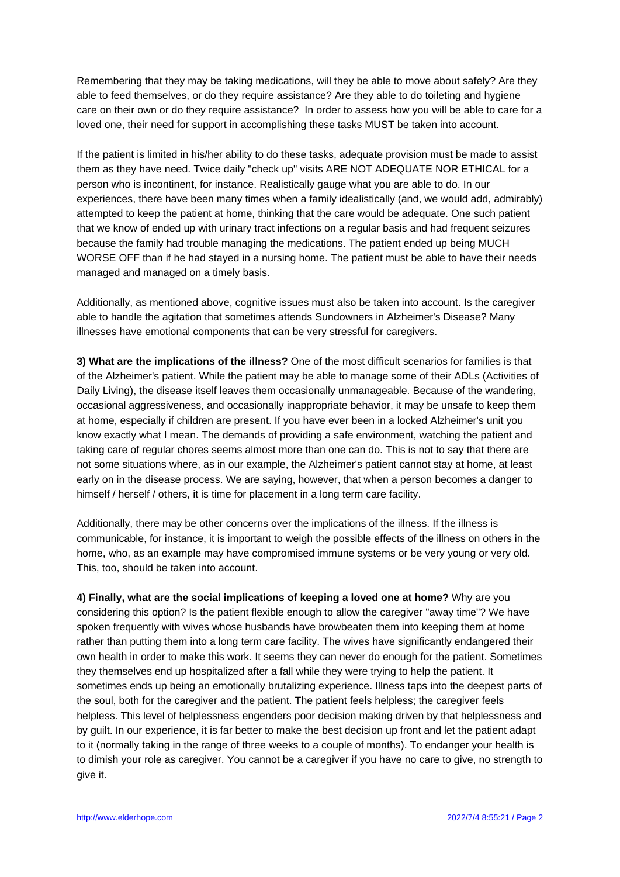Remembering that they may be taking medications, will they be able to move about safely? Are they able to feed themselves, or do they require assistance? Are they able to do toileting and hygiene care on their own or do they require assistance? In order to assess how you will be able to care for a loved one, their need for support in accomplishing these tasks MUST be taken into account.

If the patient is limited in his/her ability to do these tasks, adequate provision must be made to assist them as they have need. Twice daily "check up" visits ARE NOT ADEQUATE NOR ETHICAL for a person who is incontinent, for instance. Realistically gauge what you are able to do. In our experiences, there have been many times when a family idealistically (and, we would add, admirably) attempted to keep the patient at home, thinking that the care would be adequate. One such patient that we know of ended up with urinary tract infections on a regular basis and had frequent seizures because the family had trouble managing the medications. The patient ended up being MUCH WORSE OFF than if he had stayed in a nursing home. The patient must be able to have their needs managed and managed on a timely basis.

Additionally, as mentioned above, cognitive issues must also be taken into account. Is the caregiver able to handle the agitation that sometimes attends Sundowners in Alzheimer's Disease? Many illnesses have emotional components that can be very stressful for caregivers.

**3) What are the implications of the illness?** One of the most difficult scenarios for families is that of the Alzheimer's patient. While the patient may be able to manage some of their ADLs (Activities of Daily Living), the disease itself leaves them occasionally unmanageable. Because of the wandering, occasional aggressiveness, and occasionally inappropriate behavior, it may be unsafe to keep them at home, especially if children are present. If you have ever been in a locked Alzheimer's unit you know exactly what I mean. The demands of providing a safe environment, watching the patient and taking care of regular chores seems almost more than one can do. This is not to say that there are not some situations where, as in our example, the Alzheimer's patient cannot stay at home, at least early on in the disease process. We are saying, however, that when a person becomes a danger to himself / herself / others, it is time for placement in a long term care facility.

Additionally, there may be other concerns over the implications of the illness. If the illness is communicable, for instance, it is important to weigh the possible effects of the illness on others in the home, who, as an example may have compromised immune systems or be very young or very old. This, too, should be taken into account.

**4) Finally, what are the social implications of keeping a loved one at home?** Why are you considering this option? Is the patient flexible enough to allow the caregiver "away time"? We have spoken frequently with wives whose husbands have browbeaten them into keeping them at home rather than putting them into a long term care facility. The wives have significantly endangered their own health in order to make this work. It seems they can never do enough for the patient. Sometimes they themselves end up hospitalized after a fall while they were trying to help the patient. It sometimes ends up being an emotionally brutalizing experience. Illness taps into the deepest parts of the soul, both for the caregiver and the patient. The patient feels helpless; the caregiver feels helpless. This level of helplessness engenders poor decision making driven by that helplessness and by guilt. In our experience, it is far better to make the best decision up front and let the patient adapt to it (normally taking in the range of three weeks to a couple of months). To endanger your health is to dimish your role as caregiver. You cannot be a caregiver if you have no care to give, no strength to give it.